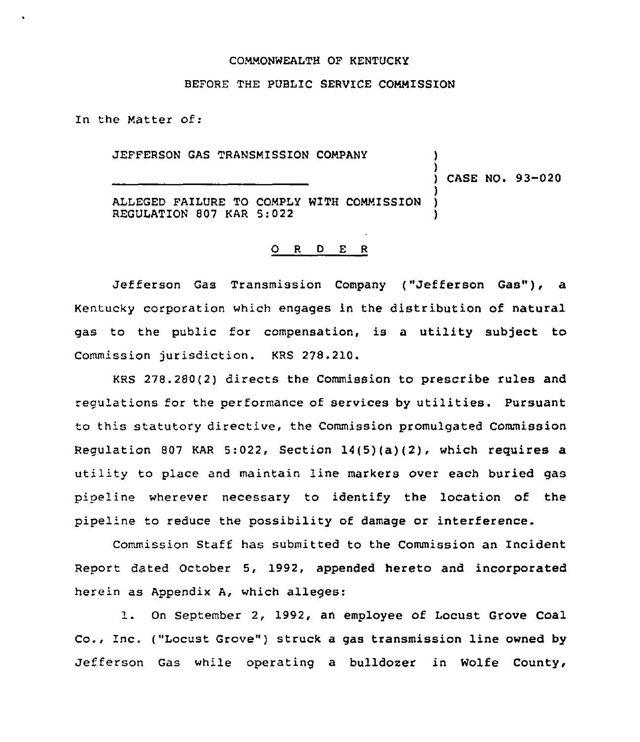## COMMONWEALTH OF KENTUCKY

# BEFORE THE PUBLIC SERVICE COMMISSION

In the Matter of:

JEFFERSON GAS TRANSMISSION COMPANY

) CASE NO. 93-020

)

)

ALLEGED FAILURE TO COMPLY WITH COMMISSION ) REGULATION 807 KAR 5:022 )

# 0 <sup>R</sup> <sup>D</sup> E <sup>R</sup>

Jefferson Gas Transmission Company ("Jefferson Gas"), a Kentucky corporation which engages in the distribution of natural gas to the public for compensation, is a utility subject to Commission jurisdiction. KRS 278.210.

KRS 278.280(2) directs the Commission to prescribe rules and regulations for the performance of services by utilities. Pursuant to this statutory directive, the Commission promulgated Commission Regulation 807 KAR 5:022, Section  $14(5)(a)(2)$ , which requires a utility to place and maintain line markers over each buried gas pipeline wherever necessary to identify the location of the pipeline to reduce the possibility of damage or interference.

Commission Staff has submitted to the Commission an Incident Report dated October 5, 1992, appended hereto and incorporated herein as Appendix A, which alleges:

l. On September 2, 1992, an employee of Locust Grove Coal Co., Inc. ("Locust Grove") struck a gas transmission line owned by Jefferson Gas while operating a bulldozer in Wolfe County,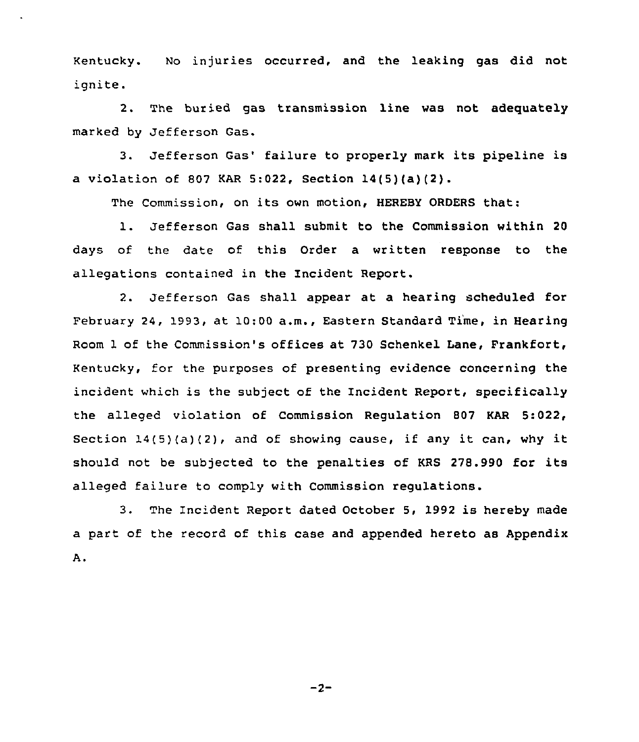Kentucky. No injuries occurred, and the leaking gas did not ignite.

2. The buried gas transmission line was not adequately marked by Jefferson Gas.

3. Jefferson Gas' failure to properly mark its pipeline is a violation of 807 KAR 5:022, Section 14(5)(a)(2).

The Commission, on its own motion, HEREBY ORDERS that:

1. Jefferson Gas shall submit to the Commission within <sup>20</sup> days of the date of this Order a written response to the allegations contained in the Incident Report.

2. Jefferson Gas shall appear at a hearing scheduled for February 24, 1993, at 10:00 a.m., Eastern Standard Time, in Hearing Room 1 of the Commission's offices at 730 Schenkel Lane, Frankfort, Kentucky, for the purposes of presenting evidence concerning the incident which is the subject of the Incident Report, specifically the alleged violation of Commission Regulation 807 KAR 5:022, Section  $14(5)(a)(2)$ , and of showing cause, if any it can, why it should not be subjected to the penalties of KRS 278.990 for its alleged failure to comply with Commission regulations.

3. The Incident Report dated October 5, 1992 is hereby made a part of the record of this case and appended hereto as AppendixΑ.

 $-2-$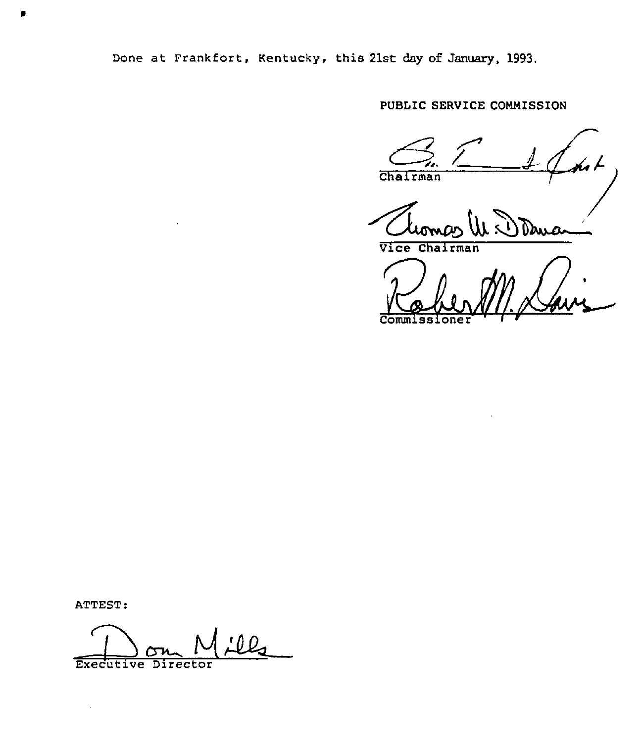Done at Frankfort, Kentucky, this 21st day of January, 1993.

FUBLIC SERVICE COMMISSION

Chairman Vice Chairman

**Commiss** 

ATTEST:

 $\bar{z}$ 

Executive Director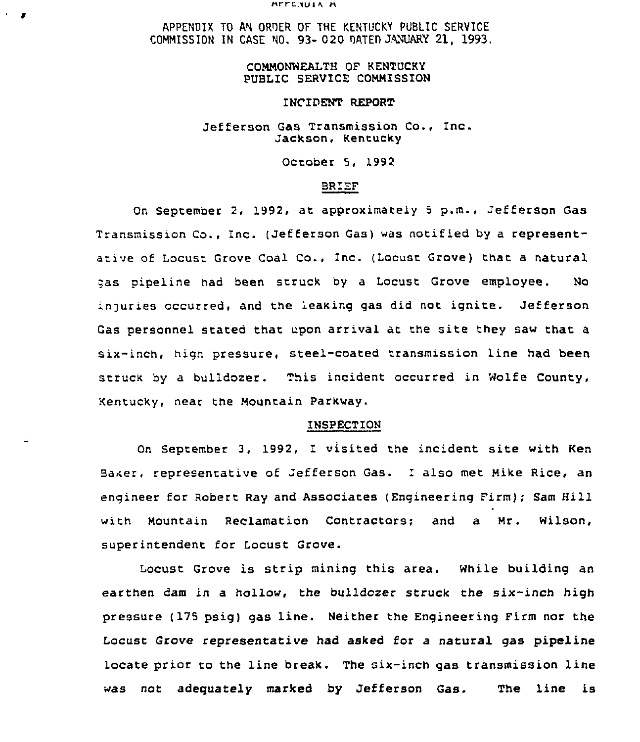#### HELE NUIA H

APPENDIX TO AN ORDER OF THE KENTUCKY PUBLIC SERVICE COMMISSION IN CASE NO. 93- 020 DATED JANUARY 21, 1993.

# COMMONWEALTH OF KENTUCKY PUBLIC SERVICE COMMISSION

## INCIDENT REPORT

## Jefferson Gas Transmission Co., Inc. Jackson, Kentucky

October 5, 1992

## BRIEF

On September 2, 1992, at approximately <sup>5</sup> p.m., Jefferson Gas Transmission Co., Inc. (Jefferson Gas) was notified by a representati ve of Locust Grove Coal Co., Inc. (Locust Grove) that a natural qas pipeline had been struck by a Locust Grove employee. No injuries occurred, and the leaking gas did not ignite. Jefferson Gas personnel stated that upon arrival at the site they saw that a six-inch, high pressure, steel-coated transmission line had been struck by a bulldozer. This incident occurred in Wolfe County, Kentucky, near the Mountain Parkway.

# INSPECTION

On September 3, 1992, I visited the incident site with Ken Baker, representative of Jefferson Gas. I also met Mike Rice, an engineer for Robert Ray and Associates (Engineering Firm); Sam Hill with Mountain Reclamation Contractors; and a Mr. Wilson, superintendent for Locust Grove.

Locust Grove is strip mining this area. While building an earthen dam in a hollow, the bulldozer struck the six-inch high pressure (175 psiq) gas line. Neither the Engineering Firm nor the Locust Grove representative had asked for a natural gas pipeline locate prior to the line break. The six-inch qas transmission line was not adequately marked by Jefferson Gas. The line is